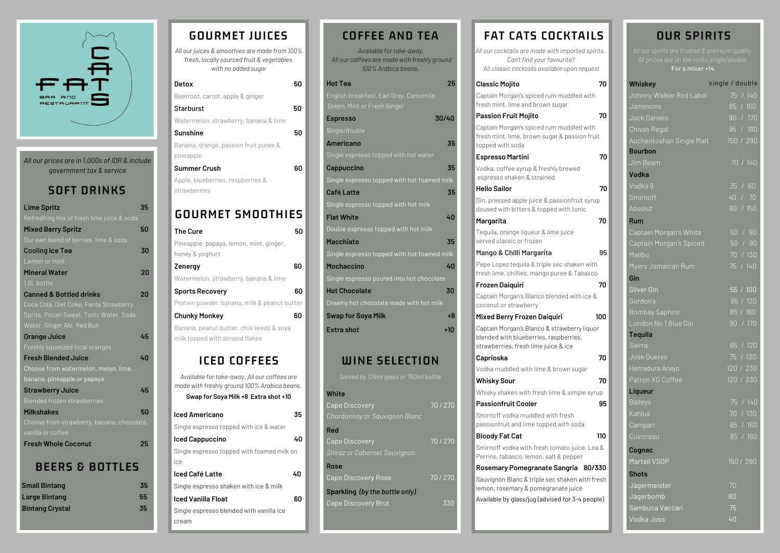#### **Classic Mojito 70**

Captain Morgan's spiced rum muddled with fresh mint, lime and brown sugar

#### **Passion Fruit Mojito 70**

Captain Morgan's spiced rum muddled with fresh mint, lime, brown sugar & passion fru topped with soda

Gin, pressed apple juice & passionfruit syr doused with bitters & topped with tonic

#### **Espresso Martini 70**

Vodka, coffee syrup & freshly brewed espresso shaken & strained

#### **Hello Sailor 70**

Captain Morgan's Blanco blended with ice coconut or strawberry

Captain Morgan's Blanco & strawberry lique blended with blueberries, raspberries, strawberries, fresh lime juice & ice

#### **Margarita 70**

Tequila, orange liqueur & lime juice served classic or frozen

#### **Mango & Chilli Margarita 95**

Pepe Lopez tequila & triple sec shaken with fresh lime, chillies, mango puree & Tabasc

Smirnoff vodka with fresh tomato juice, Le Perrins, tabasco, lemon, salt & pepper

#### **Frozen Daiquiri 70**

#### **Mixed Berry Frozen Daiquiri 100**

#### **Caprioska 70**

Vodka muddled with lime & brown sugar

#### **Whisky Sour**

Whisky shaken with fresh lime & simple sy

#### **Passionfruit Cooler 95**

Smirnoff vodka muddled with fresh passionfruit and lime topped with soda

#### **Bloody Fat** Cat

#### **Rosemary Pomegranate Sangria 80/330**

Sauvignon Blanc & triple sec shaken with lemon, rosemary & pomegranate juice Available by glass/jug (advised for 3-4 peo

| 25                                          |
|---------------------------------------------|
|                                             |
|                                             |
| 30/40                                       |
|                                             |
| 35                                          |
|                                             |
| 35                                          |
| Single espresso topped with hot foamed milk |
| 35                                          |
|                                             |
| 40                                          |
|                                             |
| 35                                          |
| Single espresso topped with hot foamed milk |
| 40                                          |
| Single espresso poured into hot chocolate   |
| 30                                          |
| Creamy hot chocolate made with hot milk     |
|                                             |
| $+8$                                        |
|                                             |

## *Available for take-away. All our coffees are made with freshly ground 100% Arabica beans.* **COFFEE AND TEA**

## **WINE SELECTION**

#### **White**

| <b>Cape Discovery</b>          | 70/270 |
|--------------------------------|--------|
| Chardonnay or Sauvignon Blanc  |        |
| <b>Red</b>                     |        |
| <b>Cape Discovery</b>          | 70/270 |
| Shiraz or Cabernet Sauvignon   |        |
| <b>Rose</b>                    |        |
| <b>Cape Discovery Rose</b>     | 70/270 |
| Sparkling (by the bottle only) |        |

Cape Discovery Brut 330

## **FAT CATS COCKTAIL**

**All** our cocktails are made with imported spiral *Can't find your favourite? All classic cocktails available upon reque* 

| <b>Detox</b>                                       | 50 |
|----------------------------------------------------|----|
| Beetroot, carrot, apple & ginger                   |    |
| Starburst                                          | 50 |
| Watermelon, strawberry, banana & lime              |    |
| <b>Sunshine</b>                                    | 50 |
| Banana, orange, passion fruit puree &<br>pineapple |    |
| <b>Summer Crush</b>                                |    |
| Apple, blueberries, raspberries &                  |    |
| strawberries                                       |    |
|                                                    |    |

*All our juices & smoothies are made from 100% fresh, locally sourced fruit & vegetables with no added sugar*

|  |  | GOURMET JUICES |
|--|--|----------------|
|  |  |                |

## **GOURMET SMOOTHIES**

**For a mixer +14**

## **OUR SPIRITS**

| <b>The Cure</b>                                                                              | 50 |
|----------------------------------------------------------------------------------------------|----|
| Pineapple, papaya, lemon, mint, ginger,                                                      |    |
| honey & yoghurt                                                                              |    |
| Zenergy                                                                                      | 60 |
| Watermelon, strawberry, banana & lime                                                        |    |
| <b>Sports Recovery</b>                                                                       | 60 |
| Protein powder, banana, milk & peanut butter                                                 |    |
| <b>Chunky Monkey</b>                                                                         | 60 |
| Banana, peanut butter, chia seeds & soya                                                     |    |
| milk topped with almond flakes                                                               |    |
|                                                                                              |    |
| ICED COFFEES                                                                                 |    |
| Available for take-away. All our coffees are<br>made with freshly ground 100% Arabica beans. |    |

| Swap for Soya Milk +8 Extra shot +10       |    |
|--------------------------------------------|----|
| lced Americano                             | 35 |
| Single espresso topped with ice & water    |    |
| lced Cappuccino                            | 40 |
| Single espresso topped with foamed milk on |    |
| ice                                        |    |
| Iced Café Latte                            | 40 |
| Single espresso shaken with ice & milk     |    |
| lced Vanilla Float                         | 60 |
| Single espresso blended with vanilla ice   |    |
| cream                                      |    |

| LS         |                          |
|------------|--------------------------|
| irits.     | All c<br>$\overline{AI}$ |
| est        |                          |
| 70<br>h    | Whis<br>Johr             |
|            | Jam                      |
| 70         | Jack                     |
| h          | Chiva                    |
| uit        | Auch                     |
| 70         | <b>Bour</b>              |
|            | $J$ im                   |
|            | Vodl                     |
| 70         | Vodk                     |
| <b>up</b>  | Smir                     |
|            | Absc                     |
| 70         | Rum                      |
|            | Capt                     |
| 95         | Capt<br>Malik            |
| th         | Myer                     |
| СO         | Gin                      |
| 70         | Silve                    |
| &          | Gord                     |
|            | <b>Bom</b>               |
| 100<br>lor | Lond                     |
|            | Tequ                     |
|            |                          |
|            | Sierr                    |
| 70         | $\overline{\text{Jose}}$ |
|            | <u>Herr</u>              |
| 70         | Patro                    |
| rup        | Liqu                     |
| 95         | Baile                    |
|            | Kahl                     |
| 110        | Cam<br>Coin              |
| эа &       |                          |
|            | Cogr<br>Mart             |
| /330       | <b>Shot</b>              |
| fresh      | Jäge                     |
| ple)       | Jäge                     |
|            | Sam                      |

| Whiskey                  | single / double |  |
|--------------------------|-----------------|--|
| Johnny Walker Red Label  | 75 / 140        |  |
| Jamesons                 | 85 / 160        |  |
| Jack Daniels             | 90 / 170        |  |
| Chivas Regal             | 95 / 180        |  |
| Auchentoshan Single Malt | 150 / 290       |  |
| <b>Bourbon</b>           |                 |  |
| Jim Beam                 | 70 / 140        |  |
| <b>Vodka</b>             |                 |  |
| Vodka 9                  | 35 / 60         |  |
| Smirnoff                 | 40 / 70         |  |
| Absolut                  | 80 / 150        |  |
| <b>Rum</b>               |                 |  |
| Captain Morgan's White   | 50 / 90         |  |
| Captain Morgan's Spiced  | 50 / 90         |  |
| Malibu                   | 70 / 130        |  |
| Myers Jamaican Rum       | 75 / 140        |  |
| Gin                      |                 |  |
| <b>Silver Gin</b>        | 55 / 100        |  |
| Gordon's                 | 65 / 120        |  |
| <b>Bombay Saphire</b>    | 85 / 160        |  |
| London No 1 Blue Gin     | 90 / 170        |  |
| <b>Tequila</b>           |                 |  |
| Sierra                   | 65 / 120        |  |
| Jose Quervo              | 75/130          |  |
| Herradura Anejo          | 120 / 230       |  |
| Patron XO Coffee         | 120 / 230       |  |
| Liqueur                  |                 |  |
| <b>Baileys</b>           | 75 / 140        |  |
| Kahlua                   | 70/130          |  |
| Campari                  | 85 / 160        |  |
| Cointreau                | 85/160          |  |
| Cognac                   |                 |  |
| Martell VSOP             | 150 / 290       |  |
| <b>Shots</b>             |                 |  |
| <u>Jägermeister</u>      | 70              |  |
| Jägerbomb                | 80              |  |
| Sambuca Vaccari          | 75              |  |
| Vodka Joss               | 40              |  |
|                          |                 |  |

| <b>Lime Spritz</b>                         | 35 |
|--------------------------------------------|----|
| Refreshing mix of fresh lime juice & soda  |    |
| <b>Mixed Berry Spritz</b>                  | 50 |
| Our own blend of berries, lime & soda      |    |
| <b>Cooling Ice Tea</b>                     | 30 |
| Lemon or mint                              |    |
| <b>Mineral Water</b>                       | 20 |
| 1.5L bottle                                |    |
| <b>Canned &amp; Bottled drinks</b>         | 20 |
| Coca Cola, Diet Coke, Fanta Strawberry,    |    |
| Sprite, Pocari Sweat, Tonic Water, Soda    |    |
| Water, Ginger Ale, Red Bull                |    |
| <b>Orange Juice</b>                        | 45 |
| Freshly squeezed local oranges             |    |
| <b>Fresh Blended Juice</b>                 | 40 |
| Choose from watermelon, melon, lime,       |    |
| banana, pineapple or papaya                |    |
| <b>Strawberry Juice</b>                    | 45 |
| <b>Blended frozen strawberries</b>         |    |
| <b>Milkshakes</b>                          | 50 |
| Choose from strawberry, banana, chocolate, |    |
| vanilla or coffee                          |    |
| <b>Fresh Whole Coconut</b>                 | 25 |
|                                            |    |

## **BEERS & BOTTLES**

| 35 |
|----|
| 55 |
| 35 |
|    |

## **SOFT DRINKS**



*All our prices are in 1,000s of IDR & include government tax & service*